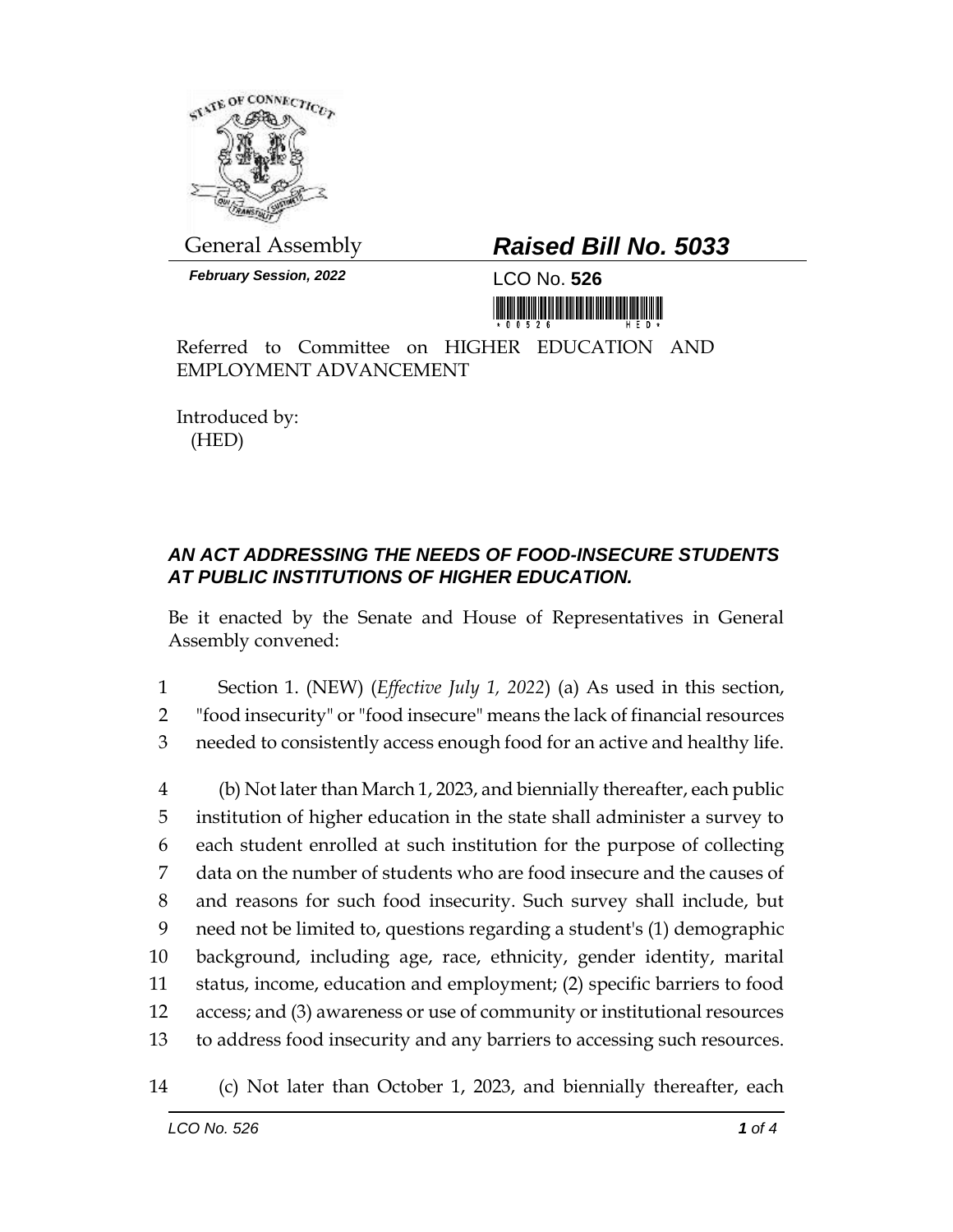

General Assembly *Raised Bill No. 5033*

*February Session, 2022* LCO No. **526**

Referred to Committee on HIGHER EDUCATION AND EMPLOYMENT ADVANCEMENT

Introduced by: (HED)

## *AN ACT ADDRESSING THE NEEDS OF FOOD-INSECURE STUDENTS AT PUBLIC INSTITUTIONS OF HIGHER EDUCATION.*

Be it enacted by the Senate and House of Representatives in General Assembly convened:

1 Section 1. (NEW) (*Effective July 1, 2022*) (a) As used in this section,

2 "food insecurity" or "food insecure" means the lack of financial resources

3 needed to consistently access enough food for an active and healthy life.

 (b) Not later than March 1, 2023, and biennially thereafter, each public institution of higher education in the state shall administer a survey to each student enrolled at such institution for the purpose of collecting data on the number of students who are food insecure and the causes of and reasons for such food insecurity. Such survey shall include, but need not be limited to, questions regarding a student's (1) demographic background, including age, race, ethnicity, gender identity, marital status, income, education and employment; (2) specific barriers to food access; and (3) awareness or use of community or institutional resources to address food insecurity and any barriers to accessing such resources.

<sup>14</sup> (c) Not later than October 1, 2023, and biennially thereafter, each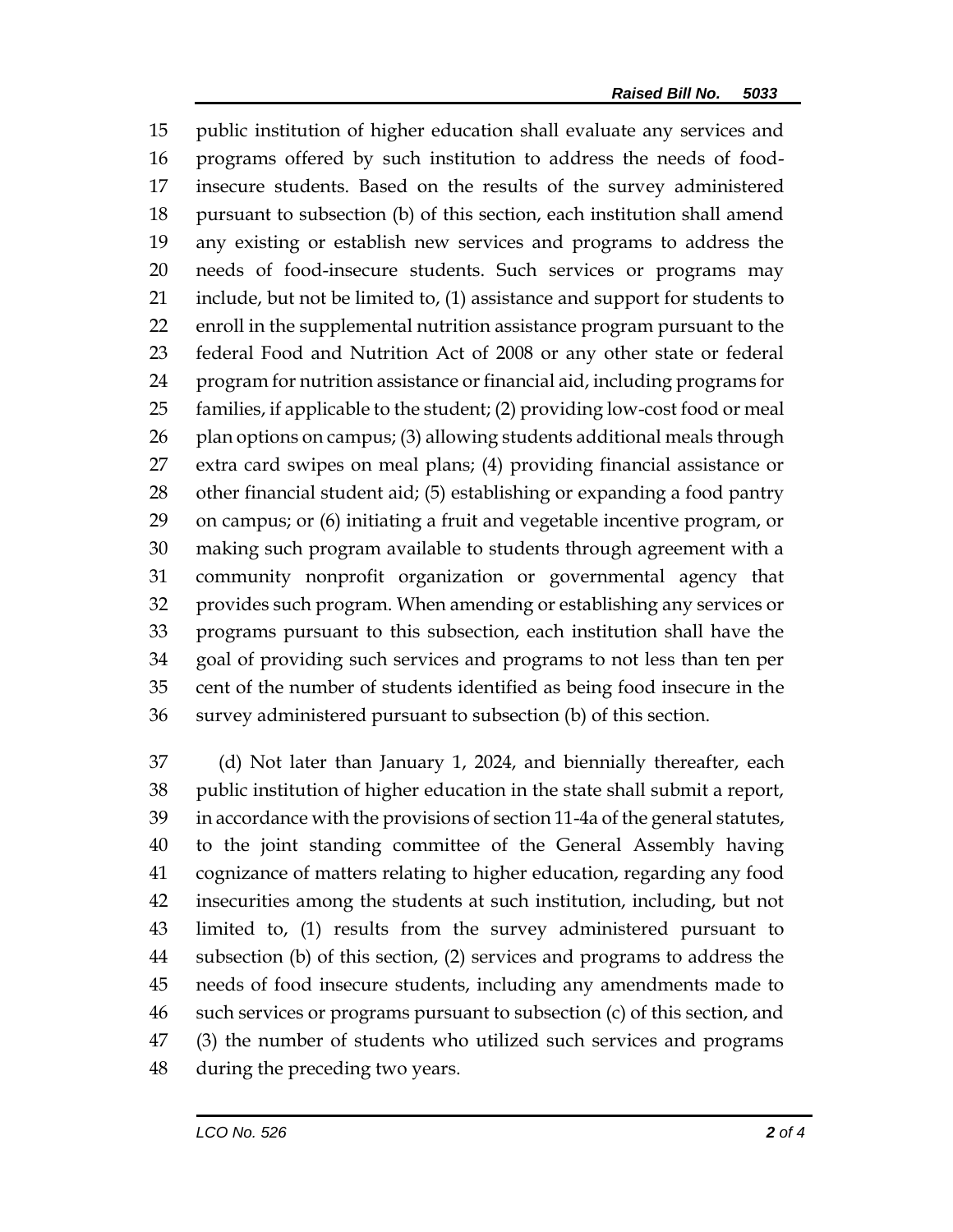public institution of higher education shall evaluate any services and programs offered by such institution to address the needs of food- insecure students. Based on the results of the survey administered pursuant to subsection (b) of this section, each institution shall amend any existing or establish new services and programs to address the needs of food-insecure students. Such services or programs may include, but not be limited to, (1) assistance and support for students to enroll in the supplemental nutrition assistance program pursuant to the federal Food and Nutrition Act of 2008 or any other state or federal program for nutrition assistance or financial aid, including programs for families, if applicable to the student; (2) providing low-cost food or meal 26 plan options on campus; (3) allowing students additional meals through extra card swipes on meal plans; (4) providing financial assistance or other financial student aid; (5) establishing or expanding a food pantry on campus; or (6) initiating a fruit and vegetable incentive program, or making such program available to students through agreement with a community nonprofit organization or governmental agency that provides such program. When amending or establishing any services or programs pursuant to this subsection, each institution shall have the goal of providing such services and programs to not less than ten per cent of the number of students identified as being food insecure in the survey administered pursuant to subsection (b) of this section.

 (d) Not later than January 1, 2024, and biennially thereafter, each public institution of higher education in the state shall submit a report, in accordance with the provisions of section 11-4a of the general statutes, to the joint standing committee of the General Assembly having cognizance of matters relating to higher education, regarding any food insecurities among the students at such institution, including, but not limited to, (1) results from the survey administered pursuant to subsection (b) of this section, (2) services and programs to address the needs of food insecure students, including any amendments made to such services or programs pursuant to subsection (c) of this section, and (3) the number of students who utilized such services and programs during the preceding two years.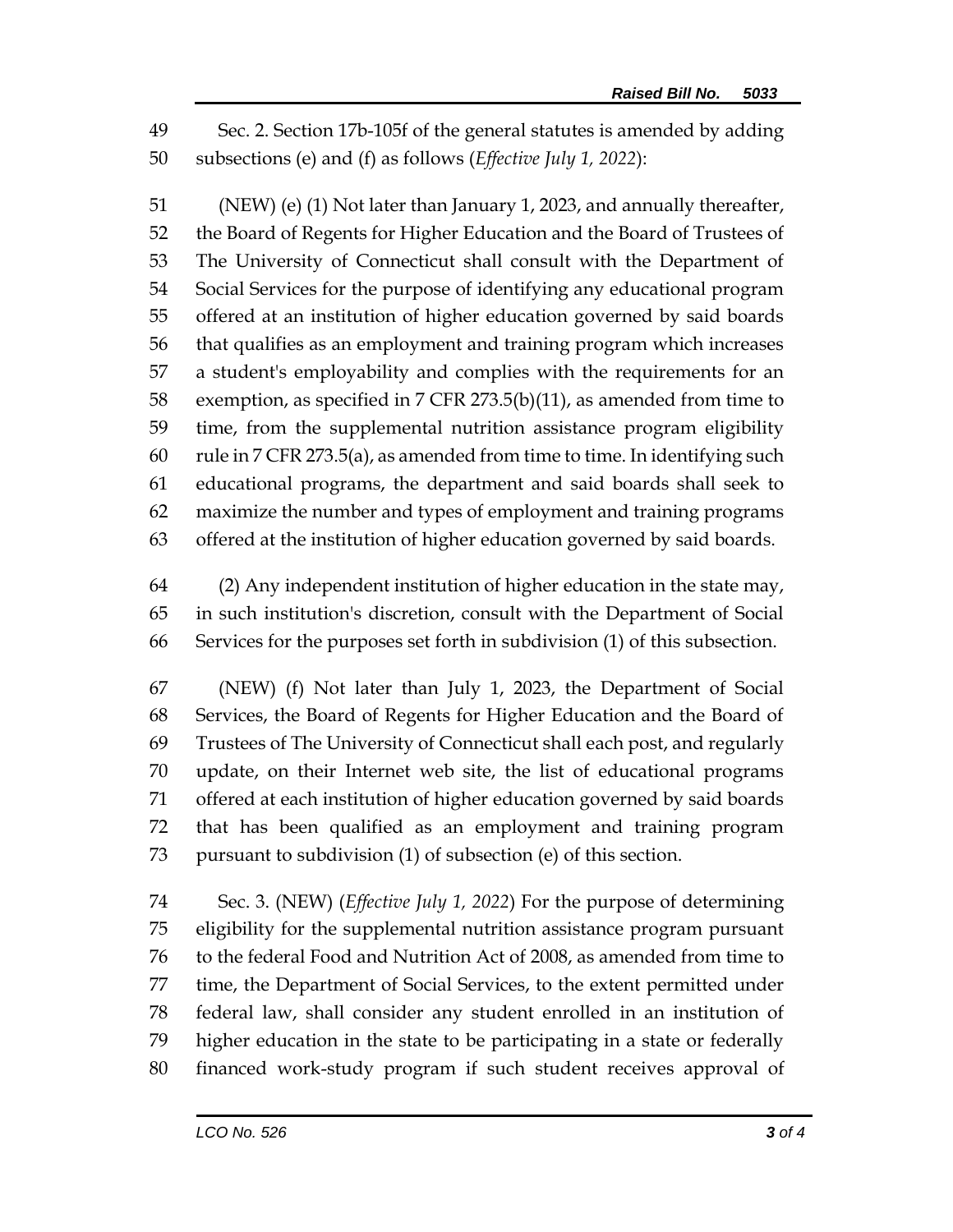Sec. 2. Section 17b-105f of the general statutes is amended by adding subsections (e) and (f) as follows (*Effective July 1, 2022*):

 (NEW) (e) (1) Not later than January 1, 2023, and annually thereafter, the Board of Regents for Higher Education and the Board of Trustees of The University of Connecticut shall consult with the Department of Social Services for the purpose of identifying any educational program offered at an institution of higher education governed by said boards that qualifies as an employment and training program which increases a student's employability and complies with the requirements for an exemption, as specified in 7 CFR 273.5(b)(11), as amended from time to time, from the supplemental nutrition assistance program eligibility rule in 7 CFR 273.5(a), as amended from time to time. In identifying such educational programs, the department and said boards shall seek to maximize the number and types of employment and training programs offered at the institution of higher education governed by said boards.

 (2) Any independent institution of higher education in the state may, in such institution's discretion, consult with the Department of Social Services for the purposes set forth in subdivision (1) of this subsection.

 (NEW) (f) Not later than July 1, 2023, the Department of Social Services, the Board of Regents for Higher Education and the Board of Trustees of The University of Connecticut shall each post, and regularly update, on their Internet web site, the list of educational programs offered at each institution of higher education governed by said boards that has been qualified as an employment and training program pursuant to subdivision (1) of subsection (e) of this section.

 Sec. 3. (NEW) (*Effective July 1, 2022*) For the purpose of determining eligibility for the supplemental nutrition assistance program pursuant to the federal Food and Nutrition Act of 2008, as amended from time to time, the Department of Social Services, to the extent permitted under federal law, shall consider any student enrolled in an institution of higher education in the state to be participating in a state or federally financed work-study program if such student receives approval of